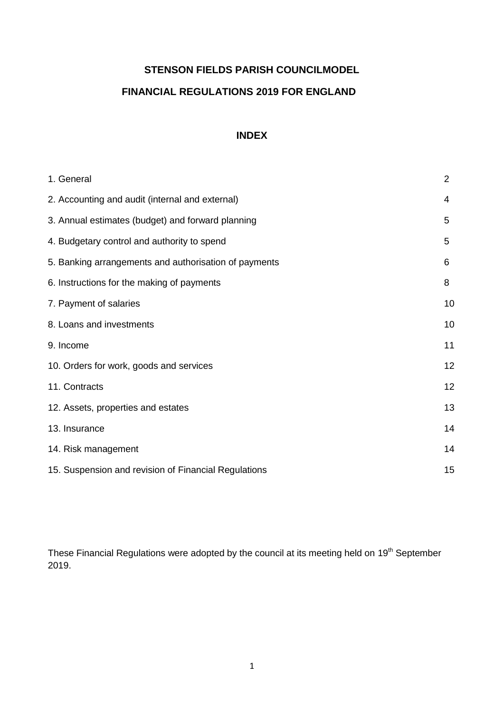# **STENSON FIELDS PARISH COUNCILMODEL**

# **FINANCIAL REGULATIONS 2019 FOR ENGLAND**

# **INDEX**

| 1. General                                            | $\overline{2}$ |
|-------------------------------------------------------|----------------|
| 2. Accounting and audit (internal and external)       | 4              |
| 3. Annual estimates (budget) and forward planning     | 5              |
| 4. Budgetary control and authority to spend           | 5              |
| 5. Banking arrangements and authorisation of payments | 6              |
| 6. Instructions for the making of payments            | 8              |
| 7. Payment of salaries                                | 10             |
| 8. Loans and investments                              | 10             |
| 9. Income                                             | 11             |
| 10. Orders for work, goods and services               | 12             |
| 11. Contracts                                         | 12             |
| 12. Assets, properties and estates                    | 13             |
| 13. Insurance                                         | 14             |
| 14. Risk management                                   | 14             |
| 15. Suspension and revision of Financial Regulations  | 15             |

These Financial Regulations were adopted by the council at its meeting held on 19<sup>th</sup> September 2019.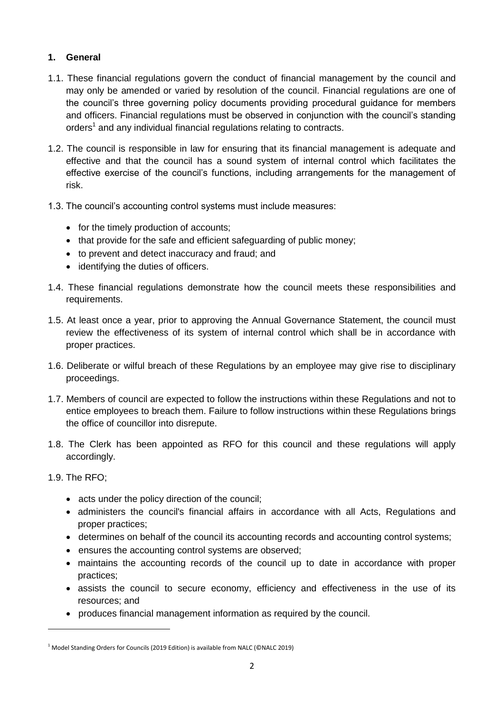# **1. General**

- 1.1. These financial regulations govern the conduct of financial management by the council and may only be amended or varied by resolution of the council. Financial regulations are one of the council's three governing policy documents providing procedural guidance for members and officers. Financial regulations must be observed in conjunction with the council's standing orders<sup>1</sup> and any individual financial regulations relating to contracts.
- 1.2. The council is responsible in law for ensuring that its financial management is adequate and effective and that the council has a sound system of internal control which facilitates the effective exercise of the council's functions, including arrangements for the management of risk.
- 1.3. The council's accounting control systems must include measures:
	- for the timely production of accounts;
	- that provide for the safe and efficient safeguarding of public money;
	- to prevent and detect inaccuracy and fraud; and
	- identifying the duties of officers.
- 1.4. These financial regulations demonstrate how the council meets these responsibilities and requirements.
- 1.5. At least once a year, prior to approving the Annual Governance Statement, the council must review the effectiveness of its system of internal control which shall be in accordance with proper practices.
- 1.6. Deliberate or wilful breach of these Regulations by an employee may give rise to disciplinary proceedings.
- 1.7. Members of council are expected to follow the instructions within these Regulations and not to entice employees to breach them. Failure to follow instructions within these Regulations brings the office of councillor into disrepute.
- 1.8. The Clerk has been appointed as RFO for this council and these regulations will apply accordingly.

#### 1.9. The RFO;

 $\overline{a}$ 

- acts under the policy direction of the council;
- administers the council's financial affairs in accordance with all Acts, Regulations and proper practices;
- determines on behalf of the council its accounting records and accounting control systems;
- ensures the accounting control systems are observed;
- maintains the accounting records of the council up to date in accordance with proper practices;
- assists the council to secure economy, efficiency and effectiveness in the use of its resources; and
- produces financial management information as required by the council.

<sup>&</sup>lt;sup>1</sup> Model Standing Orders for Councils (2019 Edition) is available from NALC (©NALC 2019)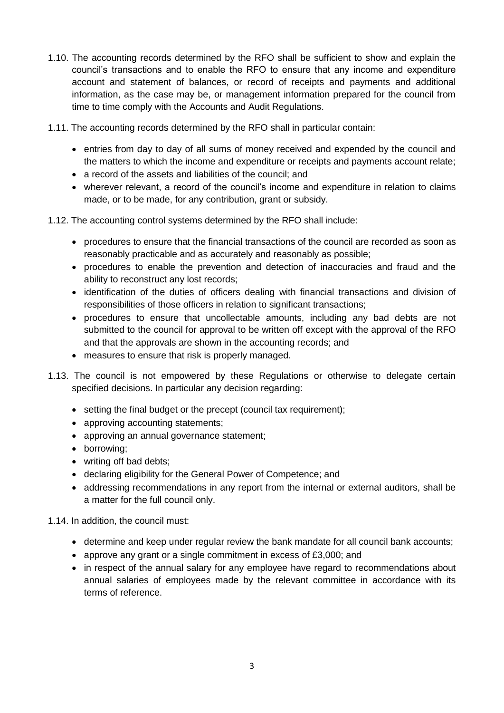- 1.10. The accounting records determined by the RFO shall be sufficient to show and explain the council's transactions and to enable the RFO to ensure that any income and expenditure account and statement of balances, or record of receipts and payments and additional information, as the case may be, or management information prepared for the council from time to time comply with the Accounts and Audit Regulations.
- 1.11. The accounting records determined by the RFO shall in particular contain:
	- entries from day to day of all sums of money received and expended by the council and the matters to which the income and expenditure or receipts and payments account relate;
	- a record of the assets and liabilities of the council: and
	- wherever relevant, a record of the council's income and expenditure in relation to claims made, or to be made, for any contribution, grant or subsidy.
- 1.12. The accounting control systems determined by the RFO shall include:
	- procedures to ensure that the financial transactions of the council are recorded as soon as reasonably practicable and as accurately and reasonably as possible;
	- procedures to enable the prevention and detection of inaccuracies and fraud and the ability to reconstruct any lost records;
	- identification of the duties of officers dealing with financial transactions and division of responsibilities of those officers in relation to significant transactions;
	- procedures to ensure that uncollectable amounts, including any bad debts are not submitted to the council for approval to be written off except with the approval of the RFO and that the approvals are shown in the accounting records; and
	- measures to ensure that risk is properly managed.
- 1.13. The council is not empowered by these Regulations or otherwise to delegate certain specified decisions. In particular any decision regarding:
	- setting the final budget or the precept (council tax requirement);
	- approving accounting statements;
	- approving an annual governance statement;
	- borrowing;
	- writing off bad debts;
	- declaring eligibility for the General Power of Competence; and
	- addressing recommendations in any report from the internal or external auditors, shall be a matter for the full council only.

1.14. In addition, the council must:

- determine and keep under regular review the bank mandate for all council bank accounts;
- approve any grant or a single commitment in excess of £3,000; and
- in respect of the annual salary for any employee have regard to recommendations about annual salaries of employees made by the relevant committee in accordance with its terms of reference.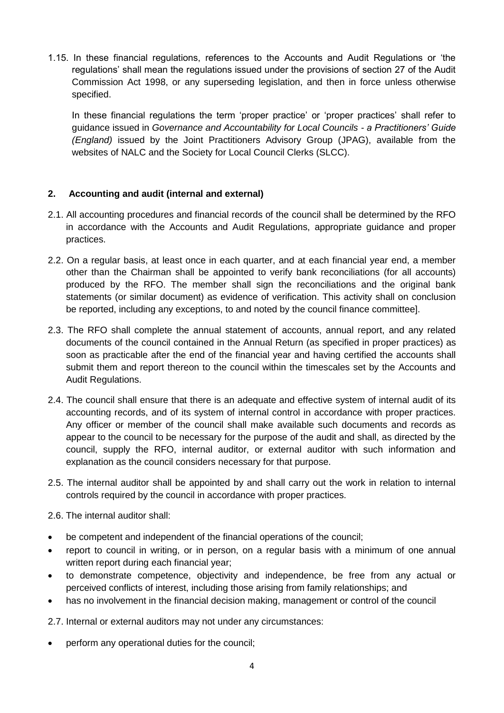1.15. In these financial regulations, references to the Accounts and Audit Regulations or 'the regulations' shall mean the regulations issued under the provisions of section 27 of the Audit Commission Act 1998, or any superseding legislation, and then in force unless otherwise specified.

In these financial regulations the term 'proper practice' or 'proper practices' shall refer to guidance issued in *Governance and Accountability for Local Councils - a Practitioners' Guide (England)* issued by the Joint Practitioners Advisory Group (JPAG), available from the websites of NALC and the Society for Local Council Clerks (SLCC).

# **2. Accounting and audit (internal and external)**

- 2.1. All accounting procedures and financial records of the council shall be determined by the RFO in accordance with the Accounts and Audit Regulations, appropriate guidance and proper practices.
- 2.2. On a regular basis, at least once in each quarter, and at each financial year end, a member other than the Chairman shall be appointed to verify bank reconciliations (for all accounts) produced by the RFO. The member shall sign the reconciliations and the original bank statements (or similar document) as evidence of verification. This activity shall on conclusion be reported, including any exceptions, to and noted by the council finance committee].
- 2.3. The RFO shall complete the annual statement of accounts, annual report, and any related documents of the council contained in the Annual Return (as specified in proper practices) as soon as practicable after the end of the financial year and having certified the accounts shall submit them and report thereon to the council within the timescales set by the Accounts and Audit Regulations.
- 2.4. The council shall ensure that there is an adequate and effective system of internal audit of its accounting records, and of its system of internal control in accordance with proper practices. Any officer or member of the council shall make available such documents and records as appear to the council to be necessary for the purpose of the audit and shall, as directed by the council, supply the RFO, internal auditor, or external auditor with such information and explanation as the council considers necessary for that purpose.
- 2.5. The internal auditor shall be appointed by and shall carry out the work in relation to internal controls required by the council in accordance with proper practices.
- 2.6. The internal auditor shall:
- be competent and independent of the financial operations of the council;
- report to council in writing, or in person, on a regular basis with a minimum of one annual written report during each financial year;
- to demonstrate competence, objectivity and independence, be free from any actual or perceived conflicts of interest, including those arising from family relationships; and
- has no involvement in the financial decision making, management or control of the council

2.7. Internal or external auditors may not under any circumstances:

perform any operational duties for the council;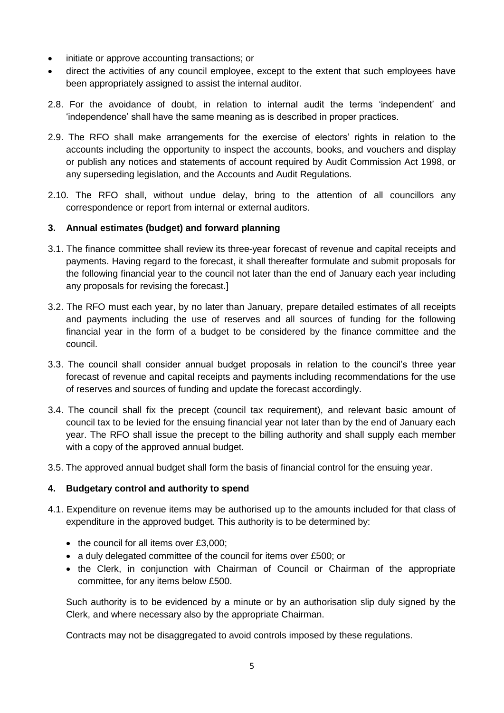- initiate or approve accounting transactions; or
- direct the activities of any council employee, except to the extent that such employees have been appropriately assigned to assist the internal auditor.
- 2.8. For the avoidance of doubt, in relation to internal audit the terms 'independent' and 'independence' shall have the same meaning as is described in proper practices.
- 2.9. The RFO shall make arrangements for the exercise of electors' rights in relation to the accounts including the opportunity to inspect the accounts, books, and vouchers and display or publish any notices and statements of account required by Audit Commission Act 1998, or any superseding legislation, and the Accounts and Audit Regulations.
- 2.10. The RFO shall, without undue delay, bring to the attention of all councillors any correspondence or report from internal or external auditors.

# **3. Annual estimates (budget) and forward planning**

- 3.1. The finance committee shall review its three-year forecast of revenue and capital receipts and payments. Having regard to the forecast, it shall thereafter formulate and submit proposals for the following financial year to the council not later than the end of January each year including any proposals for revising the forecast.]
- 3.2. The RFO must each year, by no later than January, prepare detailed estimates of all receipts and payments including the use of reserves and all sources of funding for the following financial year in the form of a budget to be considered by the finance committee and the council.
- 3.3. The council shall consider annual budget proposals in relation to the council's three year forecast of revenue and capital receipts and payments including recommendations for the use of reserves and sources of funding and update the forecast accordingly.
- 3.4. The council shall fix the precept (council tax requirement), and relevant basic amount of council tax to be levied for the ensuing financial year not later than by the end of January each year. The RFO shall issue the precept to the billing authority and shall supply each member with a copy of the approved annual budget.
- 3.5. The approved annual budget shall form the basis of financial control for the ensuing year.

# **4. Budgetary control and authority to spend**

- 4.1. Expenditure on revenue items may be authorised up to the amounts included for that class of expenditure in the approved budget. This authority is to be determined by:
	- $\bullet$  the council for all items over £3,000;
	- a duly delegated committee of the council for items over £500; or
	- the Clerk, in conjunction with Chairman of Council or Chairman of the appropriate committee, for any items below £500.

Such authority is to be evidenced by a minute or by an authorisation slip duly signed by the Clerk, and where necessary also by the appropriate Chairman.

Contracts may not be disaggregated to avoid controls imposed by these regulations.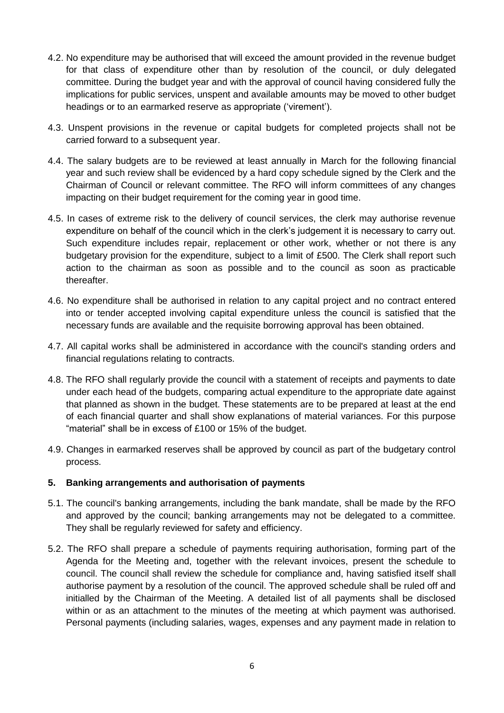- 4.2. No expenditure may be authorised that will exceed the amount provided in the revenue budget for that class of expenditure other than by resolution of the council, or duly delegated committee. During the budget year and with the approval of council having considered fully the implications for public services, unspent and available amounts may be moved to other budget headings or to an earmarked reserve as appropriate ('virement').
- 4.3. Unspent provisions in the revenue or capital budgets for completed projects shall not be carried forward to a subsequent year.
- 4.4. The salary budgets are to be reviewed at least annually in March for the following financial year and such review shall be evidenced by a hard copy schedule signed by the Clerk and the Chairman of Council or relevant committee. The RFO will inform committees of any changes impacting on their budget requirement for the coming year in good time.
- 4.5. In cases of extreme risk to the delivery of council services, the clerk may authorise revenue expenditure on behalf of the council which in the clerk's judgement it is necessary to carry out. Such expenditure includes repair, replacement or other work, whether or not there is any budgetary provision for the expenditure, subject to a limit of £500. The Clerk shall report such action to the chairman as soon as possible and to the council as soon as practicable thereafter.
- 4.6. No expenditure shall be authorised in relation to any capital project and no contract entered into or tender accepted involving capital expenditure unless the council is satisfied that the necessary funds are available and the requisite borrowing approval has been obtained.
- 4.7. All capital works shall be administered in accordance with the council's standing orders and financial regulations relating to contracts.
- 4.8. The RFO shall regularly provide the council with a statement of receipts and payments to date under each head of the budgets, comparing actual expenditure to the appropriate date against that planned as shown in the budget. These statements are to be prepared at least at the end of each financial quarter and shall show explanations of material variances. For this purpose "material" shall be in excess of £100 or 15% of the budget.
- 4.9. Changes in earmarked reserves shall be approved by council as part of the budgetary control process.

#### **5. Banking arrangements and authorisation of payments**

- 5.1. The council's banking arrangements, including the bank mandate, shall be made by the RFO and approved by the council; banking arrangements may not be delegated to a committee. They shall be regularly reviewed for safety and efficiency.
- 5.2. The RFO shall prepare a schedule of payments requiring authorisation, forming part of the Agenda for the Meeting and, together with the relevant invoices, present the schedule to council. The council shall review the schedule for compliance and, having satisfied itself shall authorise payment by a resolution of the council. The approved schedule shall be ruled off and initialled by the Chairman of the Meeting. A detailed list of all payments shall be disclosed within or as an attachment to the minutes of the meeting at which payment was authorised. Personal payments (including salaries, wages, expenses and any payment made in relation to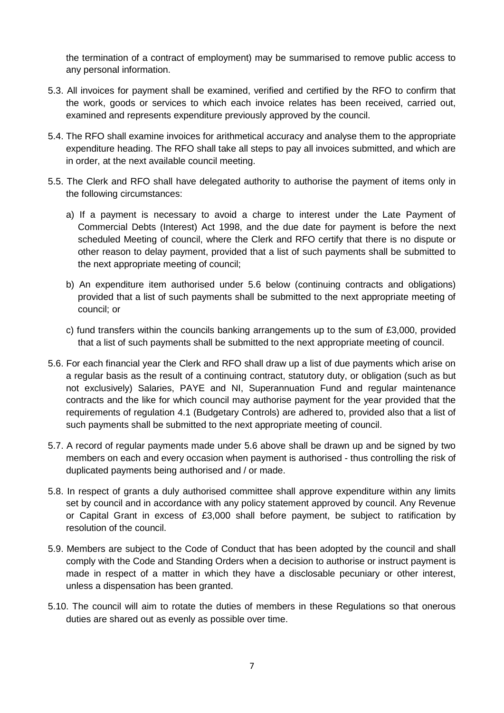the termination of a contract of employment) may be summarised to remove public access to any personal information.

- 5.3. All invoices for payment shall be examined, verified and certified by the RFO to confirm that the work, goods or services to which each invoice relates has been received, carried out, examined and represents expenditure previously approved by the council.
- 5.4. The RFO shall examine invoices for arithmetical accuracy and analyse them to the appropriate expenditure heading. The RFO shall take all steps to pay all invoices submitted, and which are in order, at the next available council meeting.
- 5.5. The Clerk and RFO shall have delegated authority to authorise the payment of items only in the following circumstances:
	- a) If a payment is necessary to avoid a charge to interest under the Late Payment of Commercial Debts (Interest) Act 1998, and the due date for payment is before the next scheduled Meeting of council, where the Clerk and RFO certify that there is no dispute or other reason to delay payment, provided that a list of such payments shall be submitted to the next appropriate meeting of council;
	- b) An expenditure item authorised under 5.6 below (continuing contracts and obligations) provided that a list of such payments shall be submitted to the next appropriate meeting of council; or
	- c) fund transfers within the councils banking arrangements up to the sum of £3,000, provided that a list of such payments shall be submitted to the next appropriate meeting of council.
- 5.6. For each financial year the Clerk and RFO shall draw up a list of due payments which arise on a regular basis as the result of a continuing contract, statutory duty, or obligation (such as but not exclusively) Salaries, PAYE and NI, Superannuation Fund and regular maintenance contracts and the like for which council may authorise payment for the year provided that the requirements of regulation 4.1 (Budgetary Controls) are adhered to, provided also that a list of such payments shall be submitted to the next appropriate meeting of council.
- 5.7. A record of regular payments made under 5.6 above shall be drawn up and be signed by two members on each and every occasion when payment is authorised - thus controlling the risk of duplicated payments being authorised and / or made.
- 5.8. In respect of grants a duly authorised committee shall approve expenditure within any limits set by council and in accordance with any policy statement approved by council. Any Revenue or Capital Grant in excess of £3,000 shall before payment, be subject to ratification by resolution of the council.
- 5.9. Members are subject to the Code of Conduct that has been adopted by the council and shall comply with the Code and Standing Orders when a decision to authorise or instruct payment is made in respect of a matter in which they have a disclosable pecuniary or other interest, unless a dispensation has been granted.
- 5.10. The council will aim to rotate the duties of members in these Regulations so that onerous duties are shared out as evenly as possible over time.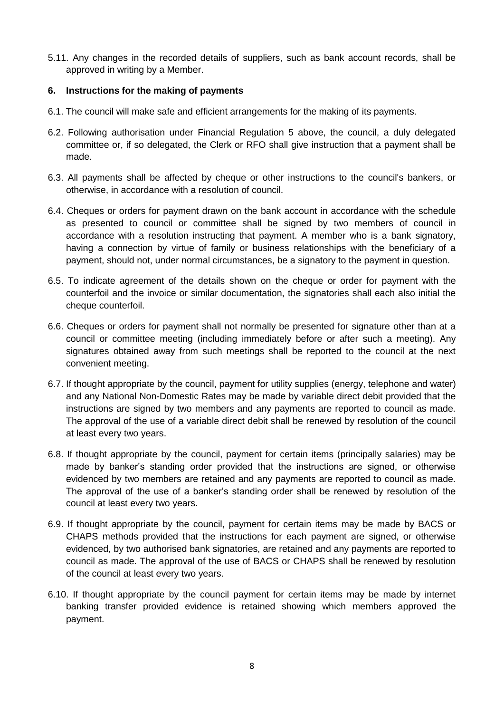5.11. Any changes in the recorded details of suppliers, such as bank account records, shall be approved in writing by a Member.

### **6. Instructions for the making of payments**

- 6.1. The council will make safe and efficient arrangements for the making of its payments.
- 6.2. Following authorisation under Financial Regulation 5 above, the council, a duly delegated committee or, if so delegated, the Clerk or RFO shall give instruction that a payment shall be made.
- 6.3. All payments shall be affected by cheque or other instructions to the council's bankers, or otherwise, in accordance with a resolution of council.
- 6.4. Cheques or orders for payment drawn on the bank account in accordance with the schedule as presented to council or committee shall be signed by two members of council in accordance with a resolution instructing that payment. A member who is a bank signatory, having a connection by virtue of family or business relationships with the beneficiary of a payment, should not, under normal circumstances, be a signatory to the payment in question.
- 6.5. To indicate agreement of the details shown on the cheque or order for payment with the counterfoil and the invoice or similar documentation, the signatories shall each also initial the cheque counterfoil.
- 6.6. Cheques or orders for payment shall not normally be presented for signature other than at a council or committee meeting (including immediately before or after such a meeting). Any signatures obtained away from such meetings shall be reported to the council at the next convenient meeting.
- 6.7. If thought appropriate by the council, payment for utility supplies (energy, telephone and water) and any National Non-Domestic Rates may be made by variable direct debit provided that the instructions are signed by two members and any payments are reported to council as made. The approval of the use of a variable direct debit shall be renewed by resolution of the council at least every two years.
- 6.8. If thought appropriate by the council, payment for certain items (principally salaries) may be made by banker's standing order provided that the instructions are signed, or otherwise evidenced by two members are retained and any payments are reported to council as made. The approval of the use of a banker's standing order shall be renewed by resolution of the council at least every two years.
- 6.9. If thought appropriate by the council, payment for certain items may be made by BACS or CHAPS methods provided that the instructions for each payment are signed, or otherwise evidenced, by two authorised bank signatories, are retained and any payments are reported to council as made. The approval of the use of BACS or CHAPS shall be renewed by resolution of the council at least every two years.
- 6.10. If thought appropriate by the council payment for certain items may be made by internet banking transfer provided evidence is retained showing which members approved the payment.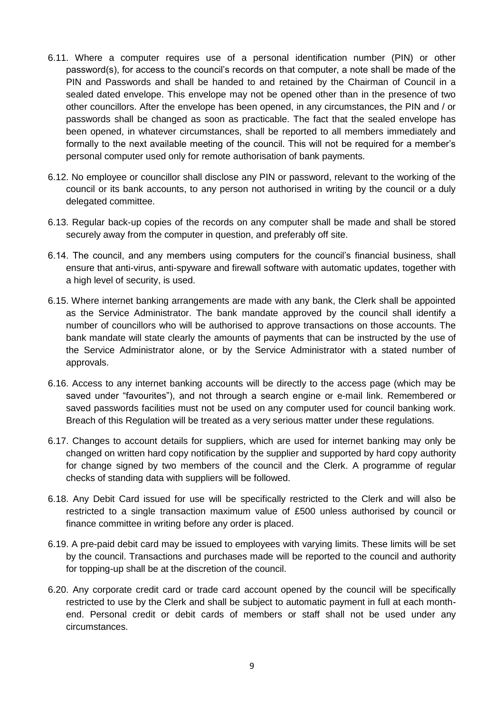- 6.11. Where a computer requires use of a personal identification number (PIN) or other password(s), for access to the council's records on that computer, a note shall be made of the PIN and Passwords and shall be handed to and retained by the Chairman of Council in a sealed dated envelope. This envelope may not be opened other than in the presence of two other councillors. After the envelope has been opened, in any circumstances, the PIN and / or passwords shall be changed as soon as practicable. The fact that the sealed envelope has been opened, in whatever circumstances, shall be reported to all members immediately and formally to the next available meeting of the council. This will not be required for a member's personal computer used only for remote authorisation of bank payments.
- 6.12. No employee or councillor shall disclose any PIN or password, relevant to the working of the council or its bank accounts, to any person not authorised in writing by the council or a duly delegated committee.
- 6.13. Regular back-up copies of the records on any computer shall be made and shall be stored securely away from the computer in question, and preferably off site.
- 6.14. The council, and any members using computers for the council's financial business, shall ensure that anti-virus, anti-spyware and firewall software with automatic updates, together with a high level of security, is used.
- 6.15. Where internet banking arrangements are made with any bank, the Clerk shall be appointed as the Service Administrator. The bank mandate approved by the council shall identify a number of councillors who will be authorised to approve transactions on those accounts. The bank mandate will state clearly the amounts of payments that can be instructed by the use of the Service Administrator alone, or by the Service Administrator with a stated number of approvals.
- 6.16. Access to any internet banking accounts will be directly to the access page (which may be saved under "favourites"), and not through a search engine or e-mail link. Remembered or saved passwords facilities must not be used on any computer used for council banking work. Breach of this Regulation will be treated as a very serious matter under these regulations.
- 6.17. Changes to account details for suppliers, which are used for internet banking may only be changed on written hard copy notification by the supplier and supported by hard copy authority for change signed by two members of the council and the Clerk. A programme of regular checks of standing data with suppliers will be followed.
- 6.18. Any Debit Card issued for use will be specifically restricted to the Clerk and will also be restricted to a single transaction maximum value of £500 unless authorised by council or finance committee in writing before any order is placed.
- 6.19. A pre-paid debit card may be issued to employees with varying limits. These limits will be set by the council. Transactions and purchases made will be reported to the council and authority for topping-up shall be at the discretion of the council.
- 6.20. Any corporate credit card or trade card account opened by the council will be specifically restricted to use by the Clerk and shall be subject to automatic payment in full at each monthend. Personal credit or debit cards of members or staff shall not be used under any circumstances.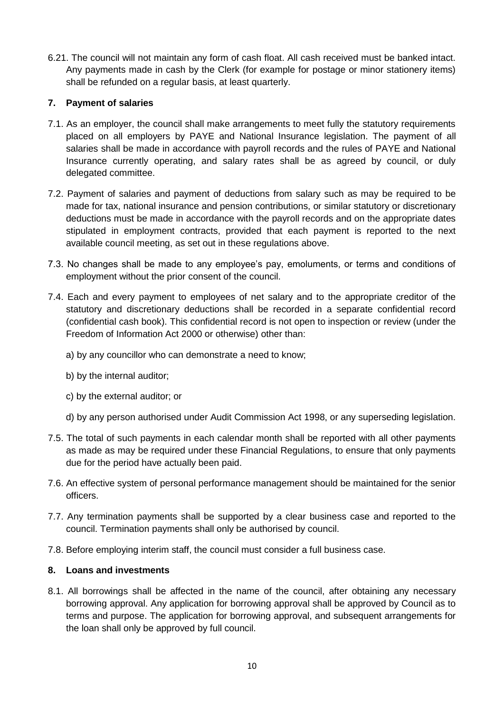6.21. The council will not maintain any form of cash float. All cash received must be banked intact. Any payments made in cash by the Clerk (for example for postage or minor stationery items) shall be refunded on a regular basis, at least quarterly.

# **7. Payment of salaries**

- 7.1. As an employer, the council shall make arrangements to meet fully the statutory requirements placed on all employers by PAYE and National Insurance legislation. The payment of all salaries shall be made in accordance with payroll records and the rules of PAYE and National Insurance currently operating, and salary rates shall be as agreed by council, or duly delegated committee.
- 7.2. Payment of salaries and payment of deductions from salary such as may be required to be made for tax, national insurance and pension contributions, or similar statutory or discretionary deductions must be made in accordance with the payroll records and on the appropriate dates stipulated in employment contracts, provided that each payment is reported to the next available council meeting, as set out in these regulations above.
- 7.3. No changes shall be made to any employee's pay, emoluments, or terms and conditions of employment without the prior consent of the council.
- 7.4. Each and every payment to employees of net salary and to the appropriate creditor of the statutory and discretionary deductions shall be recorded in a separate confidential record (confidential cash book). This confidential record is not open to inspection or review (under the Freedom of Information Act 2000 or otherwise) other than:
	- a) by any councillor who can demonstrate a need to know;
	- b) by the internal auditor;
	- c) by the external auditor; or
	- d) by any person authorised under Audit Commission Act 1998, or any superseding legislation.
- 7.5. The total of such payments in each calendar month shall be reported with all other payments as made as may be required under these Financial Regulations, to ensure that only payments due for the period have actually been paid.
- 7.6. An effective system of personal performance management should be maintained for the senior officers.
- 7.7. Any termination payments shall be supported by a clear business case and reported to the council. Termination payments shall only be authorised by council.
- 7.8. Before employing interim staff, the council must consider a full business case.

### **8. Loans and investments**

8.1. All borrowings shall be affected in the name of the council, after obtaining any necessary borrowing approval. Any application for borrowing approval shall be approved by Council as to terms and purpose. The application for borrowing approval, and subsequent arrangements for the loan shall only be approved by full council.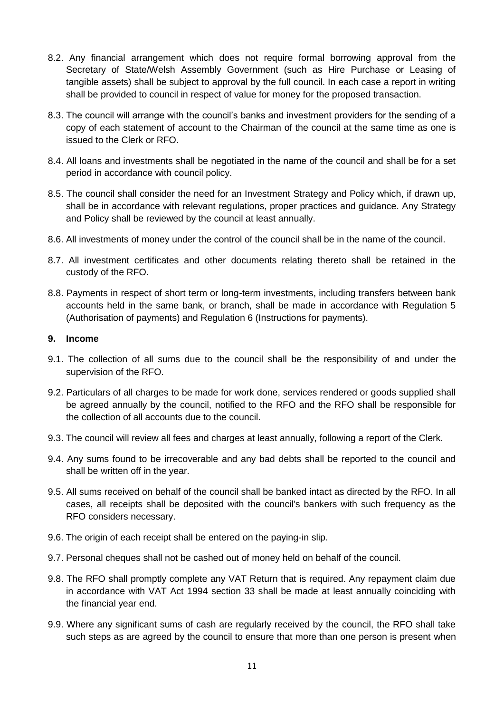- 8.2. Any financial arrangement which does not require formal borrowing approval from the Secretary of State/Welsh Assembly Government (such as Hire Purchase or Leasing of tangible assets) shall be subject to approval by the full council. In each case a report in writing shall be provided to council in respect of value for money for the proposed transaction.
- 8.3. The council will arrange with the council's banks and investment providers for the sending of a copy of each statement of account to the Chairman of the council at the same time as one is issued to the Clerk or RFO.
- 8.4. All loans and investments shall be negotiated in the name of the council and shall be for a set period in accordance with council policy.
- 8.5. The council shall consider the need for an Investment Strategy and Policy which, if drawn up, shall be in accordance with relevant regulations, proper practices and guidance. Any Strategy and Policy shall be reviewed by the council at least annually.
- 8.6. All investments of money under the control of the council shall be in the name of the council.
- 8.7. All investment certificates and other documents relating thereto shall be retained in the custody of the RFO.
- 8.8. Payments in respect of short term or long-term investments, including transfers between bank accounts held in the same bank, or branch, shall be made in accordance with Regulation 5 (Authorisation of payments) and Regulation 6 (Instructions for payments).

#### **9. Income**

- 9.1. The collection of all sums due to the council shall be the responsibility of and under the supervision of the RFO.
- 9.2. Particulars of all charges to be made for work done, services rendered or goods supplied shall be agreed annually by the council, notified to the RFO and the RFO shall be responsible for the collection of all accounts due to the council.
- 9.3. The council will review all fees and charges at least annually, following a report of the Clerk.
- 9.4. Any sums found to be irrecoverable and any bad debts shall be reported to the council and shall be written off in the year.
- 9.5. All sums received on behalf of the council shall be banked intact as directed by the RFO. In all cases, all receipts shall be deposited with the council's bankers with such frequency as the RFO considers necessary.
- 9.6. The origin of each receipt shall be entered on the paying-in slip.
- 9.7. Personal cheques shall not be cashed out of money held on behalf of the council.
- 9.8. The RFO shall promptly complete any VAT Return that is required. Any repayment claim due in accordance with VAT Act 1994 section 33 shall be made at least annually coinciding with the financial year end.
- 9.9. Where any significant sums of cash are regularly received by the council, the RFO shall take such steps as are agreed by the council to ensure that more than one person is present when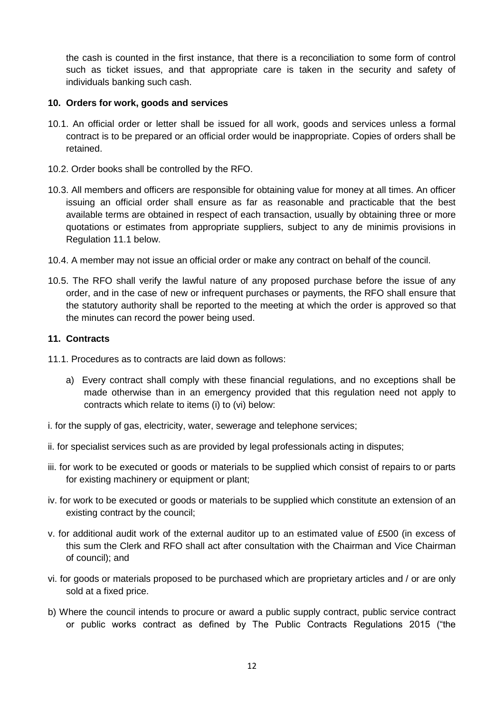the cash is counted in the first instance, that there is a reconciliation to some form of control such as ticket issues, and that appropriate care is taken in the security and safety of individuals banking such cash.

### **10. Orders for work, goods and services**

- 10.1. An official order or letter shall be issued for all work, goods and services unless a formal contract is to be prepared or an official order would be inappropriate. Copies of orders shall be retained.
- 10.2. Order books shall be controlled by the RFO.
- 10.3. All members and officers are responsible for obtaining value for money at all times. An officer issuing an official order shall ensure as far as reasonable and practicable that the best available terms are obtained in respect of each transaction, usually by obtaining three or more quotations or estimates from appropriate suppliers, subject to any de minimis provisions in Regulation 11.1 below.
- 10.4. A member may not issue an official order or make any contract on behalf of the council.
- 10.5. The RFO shall verify the lawful nature of any proposed purchase before the issue of any order, and in the case of new or infrequent purchases or payments, the RFO shall ensure that the statutory authority shall be reported to the meeting at which the order is approved so that the minutes can record the power being used.

### **11. Contracts**

11.1. Procedures as to contracts are laid down as follows:

- a) Every contract shall comply with these financial regulations, and no exceptions shall be made otherwise than in an emergency provided that this regulation need not apply to contracts which relate to items (i) to (vi) below:
- i. for the supply of gas, electricity, water, sewerage and telephone services;
- ii. for specialist services such as are provided by legal professionals acting in disputes;
- iii. for work to be executed or goods or materials to be supplied which consist of repairs to or parts for existing machinery or equipment or plant;
- iv. for work to be executed or goods or materials to be supplied which constitute an extension of an existing contract by the council;
- v. for additional audit work of the external auditor up to an estimated value of £500 (in excess of this sum the Clerk and RFO shall act after consultation with the Chairman and Vice Chairman of council); and
- vi. for goods or materials proposed to be purchased which are proprietary articles and / or are only sold at a fixed price.
- b) Where the council intends to procure or award a public supply contract, public service contract or public works contract as defined by The Public Contracts Regulations 2015 ("the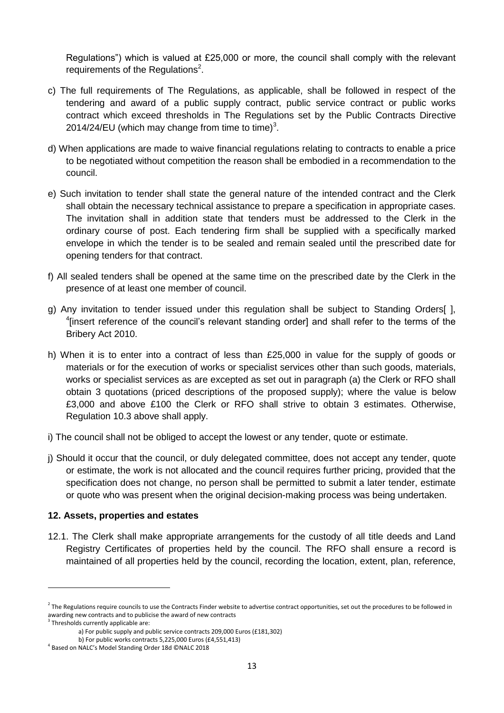Regulations") which is valued at £25,000 or more, the council shall comply with the relevant requirements of the Regulations<sup>2</sup>.

- c) The full requirements of The Regulations, as applicable, shall be followed in respect of the tendering and award of a public supply contract, public service contract or public works contract which exceed thresholds in The Regulations set by the Public Contracts Directive 2014/24/EU (which may change from time to time) $3$ .
- d) When applications are made to waive financial regulations relating to contracts to enable a price to be negotiated without competition the reason shall be embodied in a recommendation to the council.
- e) Such invitation to tender shall state the general nature of the intended contract and the Clerk shall obtain the necessary technical assistance to prepare a specification in appropriate cases. The invitation shall in addition state that tenders must be addressed to the Clerk in the ordinary course of post. Each tendering firm shall be supplied with a specifically marked envelope in which the tender is to be sealed and remain sealed until the prescribed date for opening tenders for that contract.
- f) All sealed tenders shall be opened at the same time on the prescribed date by the Clerk in the presence of at least one member of council.
- g) Any invitation to tender issued under this regulation shall be subject to Standing Orders[ ], <sup>4</sup>[insert reference of the council's relevant standing order] and shall refer to the terms of the Bribery Act 2010.
- h) When it is to enter into a contract of less than £25,000 in value for the supply of goods or materials or for the execution of works or specialist services other than such goods, materials, works or specialist services as are excepted as set out in paragraph (a) the Clerk or RFO shall obtain 3 quotations (priced descriptions of the proposed supply); where the value is below £3,000 and above £100 the Clerk or RFO shall strive to obtain 3 estimates. Otherwise, Regulation 10.3 above shall apply.
- i) The council shall not be obliged to accept the lowest or any tender, quote or estimate.
- j) Should it occur that the council, or duly delegated committee, does not accept any tender, quote or estimate, the work is not allocated and the council requires further pricing, provided that the specification does not change, no person shall be permitted to submit a later tender, estimate or quote who was present when the original decision-making process was being undertaken.

#### **12. Assets, properties and estates**

12.1. The Clerk shall make appropriate arrangements for the custody of all title deeds and Land Registry Certificates of properties held by the council. The RFO shall ensure a record is maintained of all properties held by the council, recording the location, extent, plan, reference,

 $\overline{a}$ 

 $^2$  The Regulations require councils to use the Contracts Finder website to advertise contract opportunities, set out the procedures to be followed in awarding new contracts and to publicise the award of new contracts

<sup>&</sup>lt;sup>3</sup> Thresholds currently applicable are:

a) For public supply and public service contracts 209,000 Euros (£181,302)

b) For public works contracts 5,225,000 Euros (£4,551,413)

<sup>4</sup> Based on NALC's Model Standing Order 18d ©NALC 2018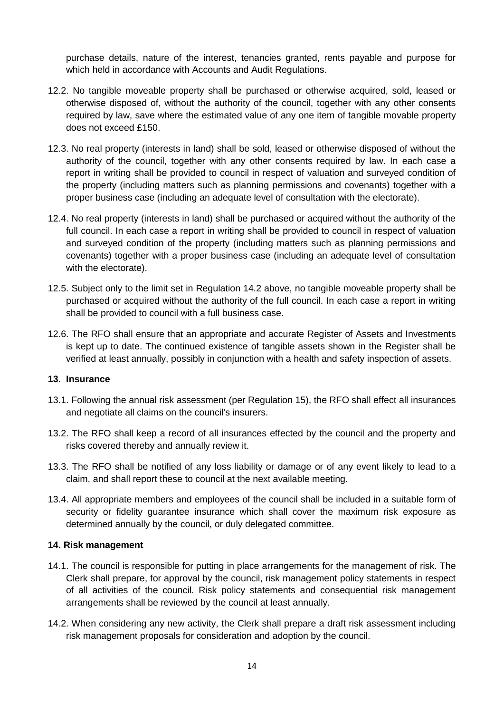purchase details, nature of the interest, tenancies granted, rents payable and purpose for which held in accordance with Accounts and Audit Regulations.

- 12.2. No tangible moveable property shall be purchased or otherwise acquired, sold, leased or otherwise disposed of, without the authority of the council, together with any other consents required by law, save where the estimated value of any one item of tangible movable property does not exceed £150.
- 12.3. No real property (interests in land) shall be sold, leased or otherwise disposed of without the authority of the council, together with any other consents required by law. In each case a report in writing shall be provided to council in respect of valuation and surveyed condition of the property (including matters such as planning permissions and covenants) together with a proper business case (including an adequate level of consultation with the electorate).
- 12.4. No real property (interests in land) shall be purchased or acquired without the authority of the full council. In each case a report in writing shall be provided to council in respect of valuation and surveyed condition of the property (including matters such as planning permissions and covenants) together with a proper business case (including an adequate level of consultation with the electorate).
- 12.5. Subject only to the limit set in Regulation 14.2 above, no tangible moveable property shall be purchased or acquired without the authority of the full council. In each case a report in writing shall be provided to council with a full business case.
- 12.6. The RFO shall ensure that an appropriate and accurate Register of Assets and Investments is kept up to date. The continued existence of tangible assets shown in the Register shall be verified at least annually, possibly in conjunction with a health and safety inspection of assets.

#### **13. Insurance**

- 13.1. Following the annual risk assessment (per Regulation 15), the RFO shall effect all insurances and negotiate all claims on the council's insurers.
- 13.2. The RFO shall keep a record of all insurances effected by the council and the property and risks covered thereby and annually review it.
- 13.3. The RFO shall be notified of any loss liability or damage or of any event likely to lead to a claim, and shall report these to council at the next available meeting.
- 13.4. All appropriate members and employees of the council shall be included in a suitable form of security or fidelity guarantee insurance which shall cover the maximum risk exposure as determined annually by the council, or duly delegated committee.

#### **14. Risk management**

- 14.1. The council is responsible for putting in place arrangements for the management of risk. The Clerk shall prepare, for approval by the council, risk management policy statements in respect of all activities of the council. Risk policy statements and consequential risk management arrangements shall be reviewed by the council at least annually.
- 14.2. When considering any new activity, the Clerk shall prepare a draft risk assessment including risk management proposals for consideration and adoption by the council.